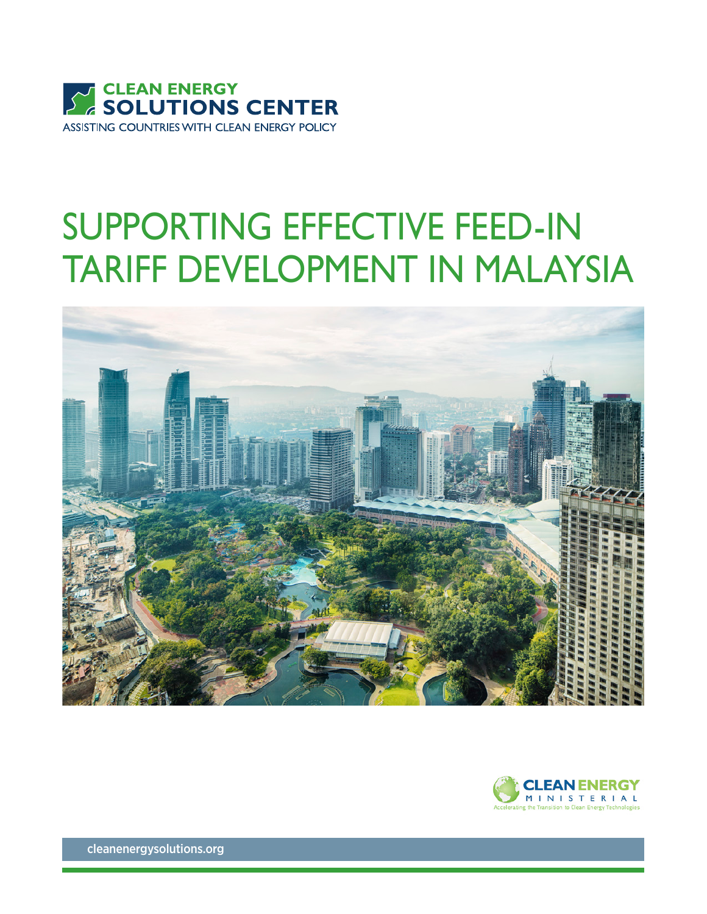

## SUPPORTING EFFECTIVE FEED-IN TARIFF DEVELOPMENT IN MALAYSIA





[cleanenergysolutions.org](http://www.cleanenergysolutions.org)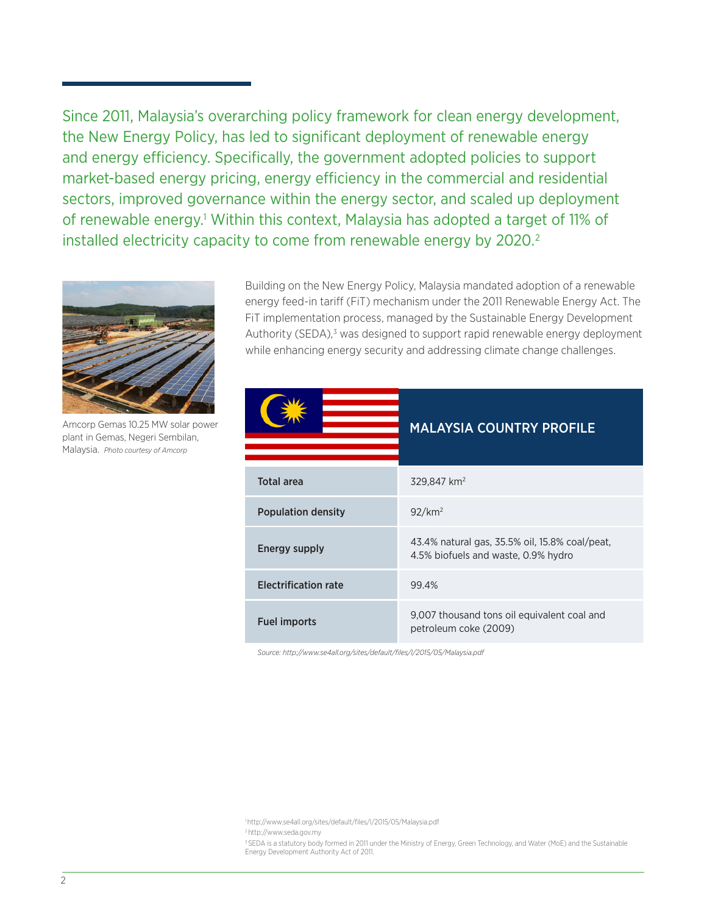Since 2011, Malaysia's overarching policy framework for clean energy development, the New Energy Policy, has led to significant deployment of renewable energy and energy efficiency. Specifically, the government adopted policies to support market-based energy pricing, energy efficiency in the commercial and residential sectors, improved governance within the energy sector, and scaled up deployment of renewable energy.1 Within this context, Malaysia has adopted a target of 11% of installed electricity capacity to come from renewable energy by 2020.<sup>2</sup>



Amcorp Gemas 10.25 MW solar power plant in Gemas, Negeri Sembilan, Malaysia. *Photo courtesy of Amcorp*

Building on the New Energy Policy, Malaysia mandated adoption of a renewable energy feed-in tariff (FiT) mechanism under the 2011 Renewable Energy Act. The FiT implementation process, managed by the Sustainable Energy Development Authority (SEDA),<sup>3</sup> was designed to support rapid renewable energy deployment while enhancing energy security and addressing climate change challenges.

|                             | <b>MALAYSIA COUNTRY PROFILE</b>                                                       |
|-----------------------------|---------------------------------------------------------------------------------------|
| <b>Total area</b>           | 329,847 km <sup>2</sup>                                                               |
| <b>Population density</b>   | $92$ /km <sup>2</sup>                                                                 |
| Energy supply               | 43.4% natural gas, 35.5% oil, 15.8% coal/peat,<br>4.5% biofuels and waste, 0.9% hydro |
| <b>Electrification rate</b> | 99.4%                                                                                 |
| <b>Fuel imports</b>         | 9,007 thousand tons oil equivalent coal and<br>petroleum coke (2009)                  |

*Source: http://www.se4all.org/sites/default/files/l/2015/05/Malaysia.pdf*

- 2<http://www.seda.gov.my>
- 3 SEDA is a statutory body formed in 2011 under the Ministry of Energy, Green Technology, and Water (MoE) and the Sustainable Energy Development Authority Act of 2011.

<sup>1</sup><http://www.se4all.org/sites/default/files/l/2015/05/Malaysia.pdf>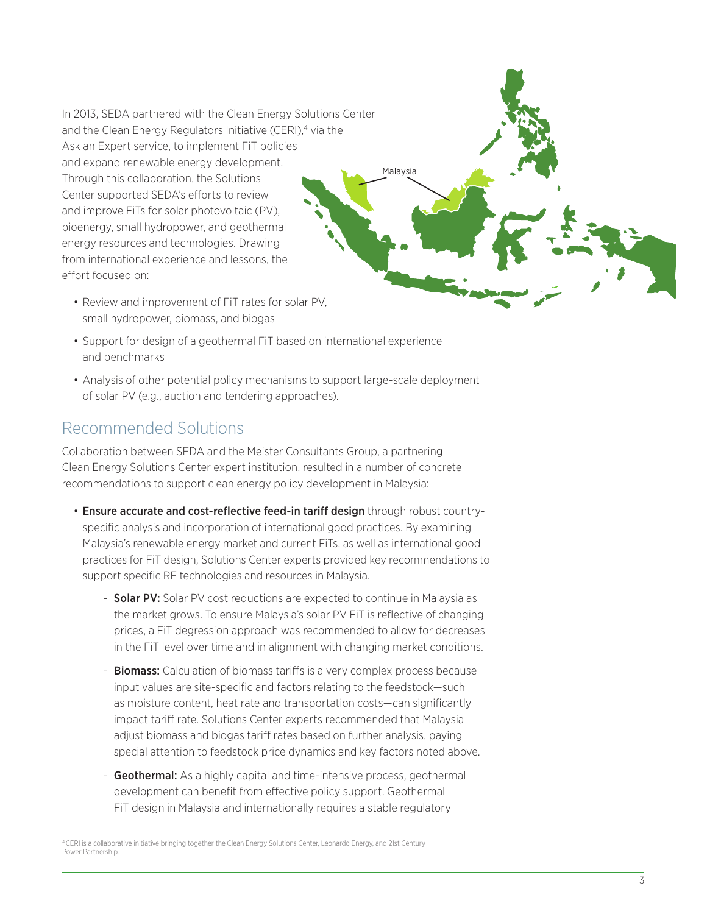In 2013, SEDA partnered with the Clean Energy Solutions Center and the Clean Energy Regulators Initiative (CERI),<sup>4</sup> via the Ask an Expert service, to implement FiT policies and expand renewable energy development. Through this collaboration, the Solutions Center supported SEDA's efforts to review and improve FiTs for solar photovoltaic (PV), bioenergy, small hydropower, and geothermal energy resources and technologies. Drawing from international experience and lessons, the effort focused on:

- Review and improvement of FiT rates for solar PV, small hydropower, biomass, and biogas
- Support for design of a geothermal FiT based on international experience and benchmarks
- Analysis of other potential policy mechanisms to support large-scale deployment of solar PV (e.g., auction and tendering approaches).

Malaysia

## Recommended Solutions

Collaboration between SEDA and the Meister Consultants Group, a partnering Clean Energy Solutions Center expert institution, resulted in a number of concrete recommendations to support clean energy policy development in Malaysia:

- Ensure accurate and cost-reflective feed-in tariff design through robust countryspecific analysis and incorporation of international good practices. By examining Malaysia's renewable energy market and current FiTs, as well as international good practices for FiT design, Solutions Center experts provided key recommendations to support specific RE technologies and resources in Malaysia.
	- **Solar PV:** Solar PV cost reductions are expected to continue in Malaysia as the market grows. To ensure Malaysia's solar PV FiT is reflective of changing prices, a FiT degression approach was recommended to allow for decreases in the FiT level over time and in alignment with changing market conditions.
	- **Biomass:** Calculation of biomass tariffs is a very complex process because input values are site-specific and factors relating to the feedstock—such as moisture content, heat rate and transportation costs—can significantly impact tariff rate. Solutions Center experts recommended that Malaysia adjust biomass and biogas tariff rates based on further analysis, paying special attention to feedstock price dynamics and key factors noted above.
	- Geothermal: As a highly capital and time-intensive process, geothermal development can benefit from effective policy support. Geothermal FiT design in Malaysia and internationally requires a stable regulatory

4 CERI is a collaborative initiative bringing together the Clean Energy Solutions Center, Leonardo Energy, and 21st Century Power Partnership.